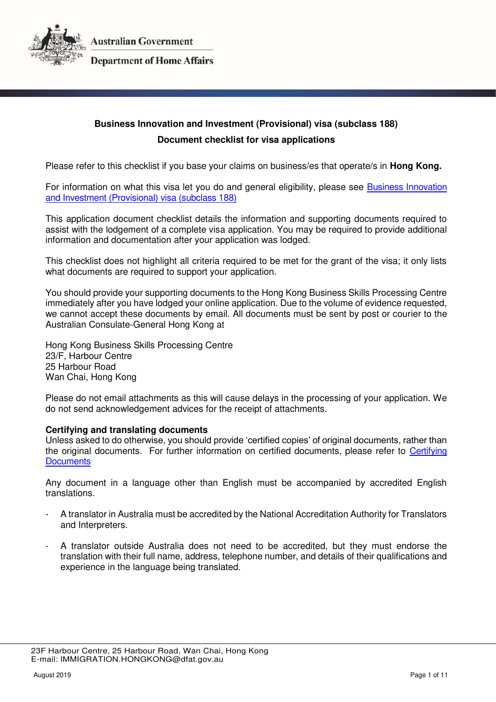

# **Department of Home Affairs**

# **Business Innovation and Investment (Provisional) visa (subclass 188) Document checklist for visa applications**

Please refer to this checklist if you base your claims on business/es that operate/s in **Hong Kong.** 

For information on what this visa let you do and general eligibility, please see [Business Innovation](https://immi.homeaffairs.gov.au/visas/getting-a-visa/visa-listing/business-innovation-and-investment-188)  [and Investment \(Provisional\) visa \(subclass 188\)](https://immi.homeaffairs.gov.au/visas/getting-a-visa/visa-listing/business-innovation-and-investment-188) 

This application document checklist details the information and supporting documents required to assist with the lodgement of a complete visa application. You may be required to provide additional information and documentation after your application was lodged.

This checklist does not highlight all criteria required to be met for the grant of the visa; it only lists what documents are required to support your application.

You should provide your supporting documents to the Hong Kong Business Skills Processing Centre immediately after you have lodged your online application. Due to the volume of evidence requested, we cannot accept these documents by email. All documents must be sent by post or courier to the Australian Consulate-General Hong Kong at

Hong Kong Business Skills Processing Centre 23/F, Harbour Centre 25 Harbour Road Wan Chai, Hong Kong

Please do not email attachments as this will cause delays in the processing of your application. We do not send acknowledgement advices for the receipt of attachments.

# **Certifying and translating documents**

Unless asked to do otherwise, you should provide 'certified copies' of original documents, rather than the original documents. For further information on certified documents, please refer to [Certifying](https://immi.homeaffairs.gov.au/help-support/applying-online-or-on-paper/on-paper/certified-copy)  **Documents** 

Any document in a language other than English must be accompanied by accredited English translations.

- A translator in Australia must be accredited by the National Accreditation Authority for Translators and Interpreters.
- A translator outside Australia does not need to be accredited, but they must endorse the translation with their full name, address, telephone number, and details of their qualifications and experience in the language being translated.

 <sup>23</sup>F Harbour Centre, 25 Harbour Road, Wan Chai, Hong Kong E-mail: IMMIGRATION.HONGKONG@dfat.gov.au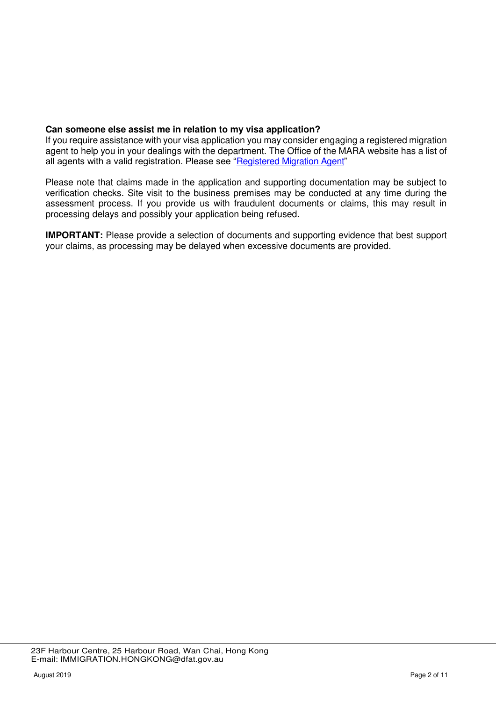# **Can someone else assist me in relation to my visa application?**

If you require assistance with your visa application you may consider engaging a registered migration agent to help you in your dealings with the department. The Office of the MARA website has a list of all agents with a valid registration. Please see "[Registered Migration Agent](https://www.mara.gov.au/)"

Please note that claims made in the application and supporting documentation may be subject to verification checks. Site visit to the business premises may be conducted at any time during the assessment process. If you provide us with fraudulent documents or claims, this may result in processing delays and possibly your application being refused.

**IMPORTANT:** Please provide a selection of documents and supporting evidence that best support your claims, as processing may be delayed when excessive documents are provided.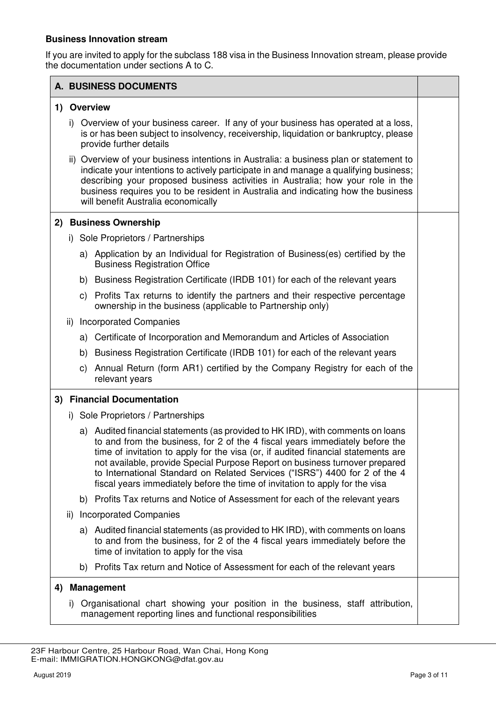# **Business Innovation stream**

If you are invited to apply for the subclass 188 visa in the Business Innovation stream, please provide the documentation under sections A to C.

|    |                            |                                    | A. BUSINESS DOCUMENTS                                                                                                                                                                                                                                                                                                                                                                                                                                                                             |  |
|----|----------------------------|------------------------------------|---------------------------------------------------------------------------------------------------------------------------------------------------------------------------------------------------------------------------------------------------------------------------------------------------------------------------------------------------------------------------------------------------------------------------------------------------------------------------------------------------|--|
|    |                            |                                    | 1) Overview                                                                                                                                                                                                                                                                                                                                                                                                                                                                                       |  |
|    |                            |                                    | i) Overview of your business career. If any of your business has operated at a loss,<br>is or has been subject to insolvency, receivership, liquidation or bankruptcy, please<br>provide further details                                                                                                                                                                                                                                                                                          |  |
|    |                            |                                    | ii) Overview of your business intentions in Australia: a business plan or statement to<br>indicate your intentions to actively participate in and manage a qualifying business;<br>describing your proposed business activities in Australia; how your role in the<br>business requires you to be resident in Australia and indicating how the business<br>will benefit Australia economically                                                                                                    |  |
|    |                            |                                    | 2) Business Ownership                                                                                                                                                                                                                                                                                                                                                                                                                                                                             |  |
|    |                            | i) Sole Proprietors / Partnerships |                                                                                                                                                                                                                                                                                                                                                                                                                                                                                                   |  |
|    |                            |                                    | a) Application by an Individual for Registration of Business(es) certified by the<br><b>Business Registration Office</b>                                                                                                                                                                                                                                                                                                                                                                          |  |
|    |                            |                                    | b) Business Registration Certificate (IRDB 101) for each of the relevant years                                                                                                                                                                                                                                                                                                                                                                                                                    |  |
|    |                            |                                    | c) Profits Tax returns to identify the partners and their respective percentage<br>ownership in the business (applicable to Partnership only)                                                                                                                                                                                                                                                                                                                                                     |  |
|    |                            |                                    | ii) Incorporated Companies                                                                                                                                                                                                                                                                                                                                                                                                                                                                        |  |
|    |                            | a)                                 | Certificate of Incorporation and Memorandum and Articles of Association                                                                                                                                                                                                                                                                                                                                                                                                                           |  |
|    |                            | b)                                 | Business Registration Certificate (IRDB 101) for each of the relevant years                                                                                                                                                                                                                                                                                                                                                                                                                       |  |
|    |                            | C)                                 | Annual Return (form AR1) certified by the Company Registry for each of the<br>relevant years                                                                                                                                                                                                                                                                                                                                                                                                      |  |
|    | 3) Financial Documentation |                                    |                                                                                                                                                                                                                                                                                                                                                                                                                                                                                                   |  |
|    |                            | i) Sole Proprietors / Partnerships |                                                                                                                                                                                                                                                                                                                                                                                                                                                                                                   |  |
|    |                            |                                    | a) Audited financial statements (as provided to HK IRD), with comments on loans<br>to and from the business, for 2 of the 4 fiscal years immediately before the<br>time of invitation to apply for the visa (or, if audited financial statements are<br>not available, provide Special Purpose Report on business turnover prepared<br>to International Standard on Related Services ("ISRS") 4400 for 2 of the 4<br>fiscal years immediately before the time of invitation to apply for the visa |  |
|    |                            |                                    | b) Profits Tax returns and Notice of Assessment for each of the relevant years                                                                                                                                                                                                                                                                                                                                                                                                                    |  |
|    |                            |                                    | ii) Incorporated Companies                                                                                                                                                                                                                                                                                                                                                                                                                                                                        |  |
|    |                            |                                    | a) Audited financial statements (as provided to HK IRD), with comments on loans<br>to and from the business, for 2 of the 4 fiscal years immediately before the<br>time of invitation to apply for the visa                                                                                                                                                                                                                                                                                       |  |
|    |                            |                                    | b) Profits Tax return and Notice of Assessment for each of the relevant years                                                                                                                                                                                                                                                                                                                                                                                                                     |  |
| 4) |                            |                                    | <b>Management</b>                                                                                                                                                                                                                                                                                                                                                                                                                                                                                 |  |
|    |                            |                                    | i) Organisational chart showing your position in the business, staff attribution,<br>management reporting lines and functional responsibilities                                                                                                                                                                                                                                                                                                                                                   |  |

 <sup>23</sup>F Harbour Centre, 25 Harbour Road, Wan Chai, Hong Kong E-mail: IMMIGRATION.HONGKONG@dfat.gov.au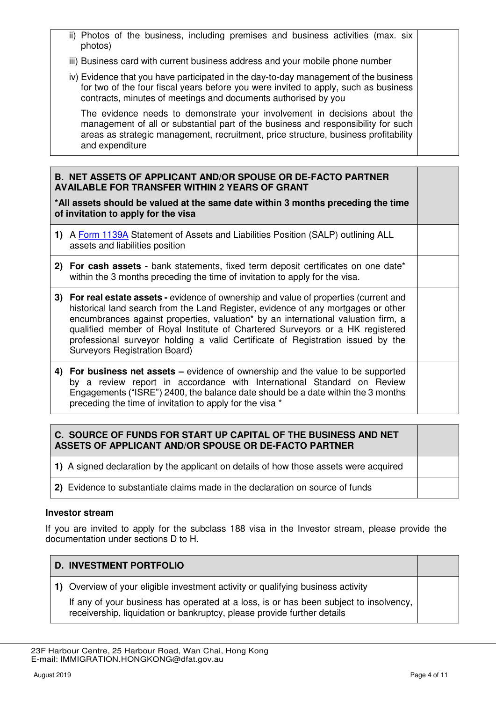- ii) Photos of the business, including premises and business activities (max. six photos)
- iii) Business card with current business address and your mobile phone number
- iv) Evidence that you have participated in the day-to-day management of the business for two of the four fiscal years before you were invited to apply, such as business contracts, minutes of meetings and documents authorised by you

The evidence needs to demonstrate your involvement in decisions about the management of all or substantial part of the business and responsibility for such areas as strategic management, recruitment, price structure, business profitability and expenditure

#### **B. NET ASSETS OF APPLICANT AND/OR SPOUSE OR DE-FACTO PARTNER AVAILABLE FOR TRANSFER WITHIN 2 YEARS OF GRANT**

**\*All assets should be valued at the same date within 3 months preceding the time of invitation to apply for the visa** 

- **1)** A [Form 1139A](https://immi.homeaffairs.gov.au/form-listing/forms/1139a.pdf) Statement of Assets and Liabilities Position (SALP) outlining ALL assets and liabilities position
- **2) For cash assets** bank statements, fixed term deposit certificates on one date\* within the 3 months preceding the time of invitation to apply for the visa.
- **3) For real estate assets** evidence of ownership and value of properties (current and historical land search from the Land Register, evidence of any mortgages or other encumbrances against properties, valuation\* by an international valuation firm, a qualified member of Royal Institute of Chartered Surveyors or a HK registered professional surveyor holding a valid Certificate of Registration issued by the Surveyors Registration Board)
- **4) For business net assets –** evidence of ownership and the value to be supported by a review report in accordance with International Standard on Review Engagements ("ISRE") 2400, the balance date should be a date within the 3 months preceding the time of invitation to apply for the visa \*

# **C. SOURCE OF FUNDS FOR START UP CAPITAL OF THE BUSINESS AND NET ASSETS OF APPLICANT AND/OR SPOUSE OR DE-FACTO PARTNER**

- **1)** A signed declaration by the applicant on details of how those assets were acquired
- **2)** Evidence to substantiate claims made in the declaration on source of funds

# **Investor stream**

If you are invited to apply for the subclass 188 visa in the Investor stream, please provide the documentation under sections D to H.

# **D. INVESTMENT PORTFOLIO 1)** Overview of your eligible investment activity or qualifying business activity If any of your business has operated at a loss, is or has been subject to insolvency, receivership, liquidation or bankruptcy, please provide further details

 <sup>23</sup>F Harbour Centre, 25 Harbour Road, Wan Chai, Hong Kong E-mail: IMMIGRATION.HONGKONG@dfat.gov.au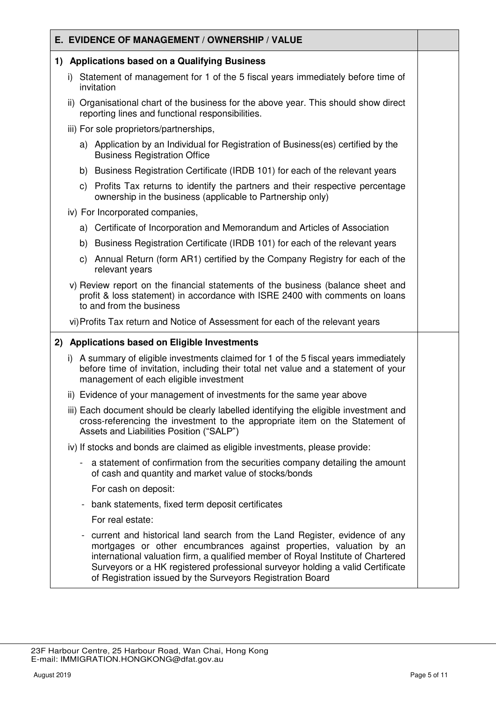# **E. EVIDENCE OF MANAGEMENT / OWNERSHIP / VALUE 1) Applications based on a Qualifying Business**  i) Statement of management for 1 of the 5 fiscal years immediately before time of invitation ii) Organisational chart of the business for the above year. This should show direct reporting lines and functional responsibilities. iii) For sole proprietors/partnerships, a) Application by an Individual for Registration of Business(es) certified by the Business Registration Office b) Business Registration Certificate (IRDB 101) for each of the relevant years c) Profits Tax returns to identify the partners and their respective percentage ownership in the business (applicable to Partnership only) iv) For Incorporated companies, a) Certificate of Incorporation and Memorandum and Articles of Association b) Business Registration Certificate (IRDB 101) for each of the relevant years c) Annual Return (form AR1) certified by the Company Registry for each of the relevant years v) Review report on the financial statements of the business (balance sheet and profit & loss statement) in accordance with ISRE 2400 with comments on loans to and from the business vi) Profits Tax return and Notice of Assessment for each of the relevant years **2) Applications based on Eligible Investments**  i) A summary of eligible investments claimed for 1 of the 5 fiscal years immediately before time of invitation, including their total net value and a statement of your management of each eligible investment ii) Evidence of your management of investments for the same year above iii) Each document should be clearly labelled identifying the eligible investment and cross-referencing the investment to the appropriate item on the Statement of Assets and Liabilities Position ("SALP") iv) If stocks and bonds are claimed as eligible investments, please provide: a statement of confirmation from the securities company detailing the amount of cash and quantity and market value of stocks/bonds For cash on deposit: - bank statements, fixed term deposit certificates For real estate: - current and historical land search from the Land Register, evidence of any mortgages or other encumbrances against properties, valuation by an international valuation firm, a qualified member of Royal Institute of Chartered Surveyors or a HK registered professional surveyor holding a valid Certificate of Registration issued by the Surveyors Registration Board

 <sup>23</sup>F Harbour Centre, 25 Harbour Road, Wan Chai, Hong Kong E-mail: IMMIGRATION.HONGKONG@dfat.gov.au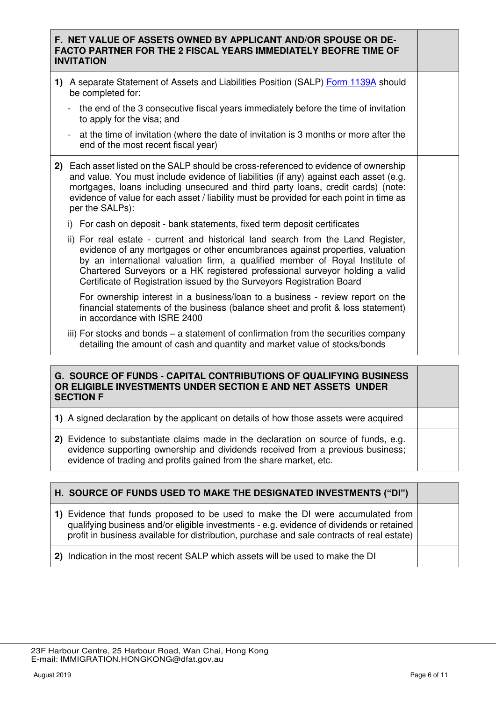# **F. NET VALUE OF ASSETS OWNED BY APPLICANT AND/OR SPOUSE OR DE-FACTO PARTNER FOR THE 2 FISCAL YEARS IMMEDIATELY BEOFRE TIME OF INVITATION**

- **1)** A separate Statement of Assets and Liabilities Position (SALP) [Form 1139A](https://immi.homeaffairs.gov.au/form-listing/forms/1139a.pdf) should be completed for:
	- the end of the 3 consecutive fiscal years immediately before the time of invitation to apply for the visa; and
	- at the time of invitation (where the date of invitation is 3 months or more after the end of the most recent fiscal year)
- **2)** Each asset listed on the SALP should be cross-referenced to evidence of ownership and value. You must include evidence of liabilities (if any) against each asset (e.g. mortgages, loans including unsecured and third party loans, credit cards) (note: evidence of value for each asset / liability must be provided for each point in time as per the SALPs):
	- i) For cash on deposit bank statements, fixed term deposit certificates
	- ii) For real estate current and historical land search from the Land Register, evidence of any mortgages or other encumbrances against properties, valuation by an international valuation firm, a qualified member of Royal Institute of Chartered Surveyors or a HK registered professional surveyor holding a valid Certificate of Registration issued by the Surveyors Registration Board

For ownership interest in a business/loan to a business - review report on the financial statements of the business (balance sheet and profit & loss statement) in accordance with ISRE 2400

iii) For stocks and bonds – a statement of confirmation from the securities company detailing the amount of cash and quantity and market value of stocks/bonds

# **G. SOURCE OF FUNDS - CAPITAL CONTRIBUTIONS OF QUALIFYING BUSINESS OR ELIGIBLE INVESTMENTS UNDER SECTION E AND NET ASSETS UNDER SECTION F**

**1)** A signed declaration by the applicant on details of how those assets were acquired

**2)** Evidence to substantiate claims made in the declaration on source of funds, e.g. evidence supporting ownership and dividends received from a previous business; evidence of trading and profits gained from the share market, etc.

| H. SOURCE OF FUNDS USED TO MAKE THE DESIGNATED INVESTMENTS ("DI")                                                                                                                                                                                                         |  |
|---------------------------------------------------------------------------------------------------------------------------------------------------------------------------------------------------------------------------------------------------------------------------|--|
| 1) Evidence that funds proposed to be used to make the DI were accumulated from<br>qualifying business and/or eligible investments - e.g. evidence of dividends or retained<br>profit in business available for distribution, purchase and sale contracts of real estate) |  |
| 2) Indication in the most recent SALP which assets will be used to make the DI                                                                                                                                                                                            |  |

 <sup>23</sup>F Harbour Centre, 25 Harbour Road, Wan Chai, Hong Kong E-mail: IMMIGRATION.HONGKONG@dfat.gov.au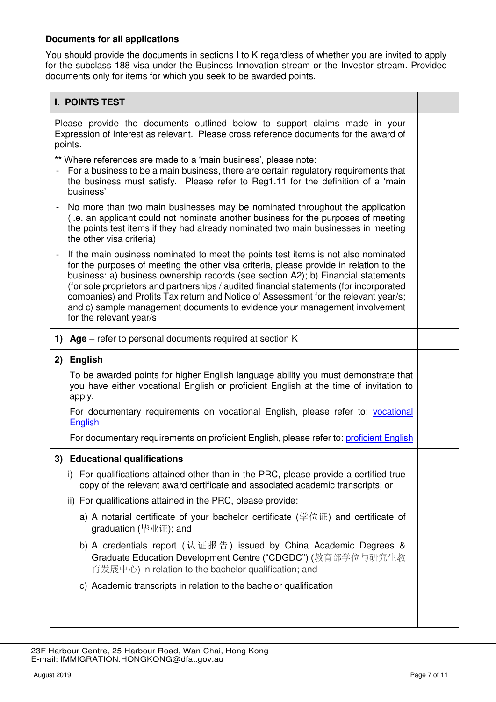# **Documents for all applications**

You should provide the documents in sections I to K regardless of whether you are invited to apply for the subclass 188 visa under the Business Innovation stream or the Investor stream. Provided documents only for items for which you seek to be awarded points.

| <b>I. POINTS TEST</b>                                                                                                                                                                                                                                                                                                                                                                                                                                                                                                                                        |  |  |
|--------------------------------------------------------------------------------------------------------------------------------------------------------------------------------------------------------------------------------------------------------------------------------------------------------------------------------------------------------------------------------------------------------------------------------------------------------------------------------------------------------------------------------------------------------------|--|--|
| Please provide the documents outlined below to support claims made in your<br>Expression of Interest as relevant. Please cross reference documents for the award of<br>points.                                                                                                                                                                                                                                                                                                                                                                               |  |  |
| ** Where references are made to a 'main business', please note:<br>For a business to be a main business, there are certain regulatory requirements that<br>the business must satisfy. Please refer to Reg1.11 for the definition of a 'main<br>business'                                                                                                                                                                                                                                                                                                     |  |  |
| No more than two main businesses may be nominated throughout the application<br>(i.e. an applicant could not nominate another business for the purposes of meeting<br>the points test items if they had already nominated two main businesses in meeting<br>the other visa criteria)                                                                                                                                                                                                                                                                         |  |  |
| If the main business nominated to meet the points test items is not also nominated<br>for the purposes of meeting the other visa criteria, please provide in relation to the<br>business: a) business ownership records (see section A2); b) Financial statements<br>(for sole proprietors and partnerships / audited financial statements (for incorporated<br>companies) and Profits Tax return and Notice of Assessment for the relevant year/s;<br>and c) sample management documents to evidence your management involvement<br>for the relevant year/s |  |  |
| 1) Age – refer to personal documents required at section K                                                                                                                                                                                                                                                                                                                                                                                                                                                                                                   |  |  |
| <b>English</b><br>2)                                                                                                                                                                                                                                                                                                                                                                                                                                                                                                                                         |  |  |
| To be awarded points for higher English language ability you must demonstrate that<br>you have either vocational English or proficient English at the time of invitation to<br>apply.                                                                                                                                                                                                                                                                                                                                                                        |  |  |
| For documentary requirements on vocational English, please refer to: vocational<br>English                                                                                                                                                                                                                                                                                                                                                                                                                                                                   |  |  |
| For documentary requirements on proficient English, please refer to: proficient English                                                                                                                                                                                                                                                                                                                                                                                                                                                                      |  |  |
| 3) Educational qualifications                                                                                                                                                                                                                                                                                                                                                                                                                                                                                                                                |  |  |
| i) For qualifications attained other than in the PRC, please provide a certified true<br>copy of the relevant award certificate and associated academic transcripts; or                                                                                                                                                                                                                                                                                                                                                                                      |  |  |
| ii) For qualifications attained in the PRC, please provide:                                                                                                                                                                                                                                                                                                                                                                                                                                                                                                  |  |  |
| a) A notarial certificate of your bachelor certificate (学位证) and certificate of<br>graduation (毕业证); and                                                                                                                                                                                                                                                                                                                                                                                                                                                     |  |  |
| b) A credentials report (认证报告) issued by China Academic Degrees &<br>Graduate Education Development Centre ("CDGDC") (教育部学位与研究生教<br>育发展中心) in relation to the bachelor qualification; and                                                                                                                                                                                                                                                                                                                                                                    |  |  |
| c) Academic transcripts in relation to the bachelor qualification                                                                                                                                                                                                                                                                                                                                                                                                                                                                                            |  |  |
|                                                                                                                                                                                                                                                                                                                                                                                                                                                                                                                                                              |  |  |

 <sup>23</sup>F Harbour Centre, 25 Harbour Road, Wan Chai, Hong Kong E-mail: IMMIGRATION.HONGKONG@dfat.gov.au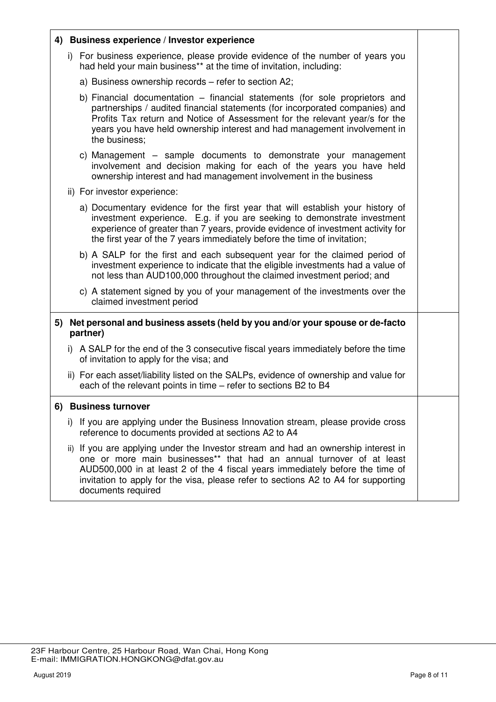|                                                                                                | 4) Business experience / Investor experience                                                                                                                                                                                                                                                                                                             |  |
|------------------------------------------------------------------------------------------------|----------------------------------------------------------------------------------------------------------------------------------------------------------------------------------------------------------------------------------------------------------------------------------------------------------------------------------------------------------|--|
|                                                                                                | i) For business experience, please provide evidence of the number of years you<br>had held your main business** at the time of invitation, including:                                                                                                                                                                                                    |  |
|                                                                                                | a) Business ownership records - refer to section A2;                                                                                                                                                                                                                                                                                                     |  |
|                                                                                                | b) Financial documentation – financial statements (for sole proprietors and<br>partnerships / audited financial statements (for incorporated companies) and<br>Profits Tax return and Notice of Assessment for the relevant year/s for the<br>years you have held ownership interest and had management involvement in<br>the business;                  |  |
|                                                                                                | c) Management – sample documents to demonstrate your management<br>involvement and decision making for each of the years you have held<br>ownership interest and had management involvement in the business                                                                                                                                              |  |
|                                                                                                | ii) For investor experience:                                                                                                                                                                                                                                                                                                                             |  |
|                                                                                                | a) Documentary evidence for the first year that will establish your history of<br>investment experience. E.g. if you are seeking to demonstrate investment<br>experience of greater than 7 years, provide evidence of investment activity for<br>the first year of the 7 years immediately before the time of invitation;                                |  |
|                                                                                                | b) A SALP for the first and each subsequent year for the claimed period of<br>investment experience to indicate that the eligible investments had a value of<br>not less than AUD100,000 throughout the claimed investment period; and                                                                                                                   |  |
|                                                                                                | c) A statement signed by you of your management of the investments over the<br>claimed investment period                                                                                                                                                                                                                                                 |  |
| Net personal and business assets (held by you and/or your spouse or de-facto<br>5)<br>partner) |                                                                                                                                                                                                                                                                                                                                                          |  |
|                                                                                                | i) A SALP for the end of the 3 consecutive fiscal years immediately before the time<br>of invitation to apply for the visa; and                                                                                                                                                                                                                          |  |
|                                                                                                | ii) For each asset/liability listed on the SALPs, evidence of ownership and value for<br>each of the relevant points in time – refer to sections B2 to B4                                                                                                                                                                                                |  |
|                                                                                                | 6) Business turnover                                                                                                                                                                                                                                                                                                                                     |  |
|                                                                                                | i) If you are applying under the Business Innovation stream, please provide cross<br>reference to documents provided at sections A2 to A4                                                                                                                                                                                                                |  |
|                                                                                                | ii) If you are applying under the Investor stream and had an ownership interest in<br>one or more main businesses** that had an annual turnover of at least<br>AUD500,000 in at least 2 of the 4 fiscal years immediately before the time of<br>invitation to apply for the visa, please refer to sections A2 to A4 for supporting<br>documents required |  |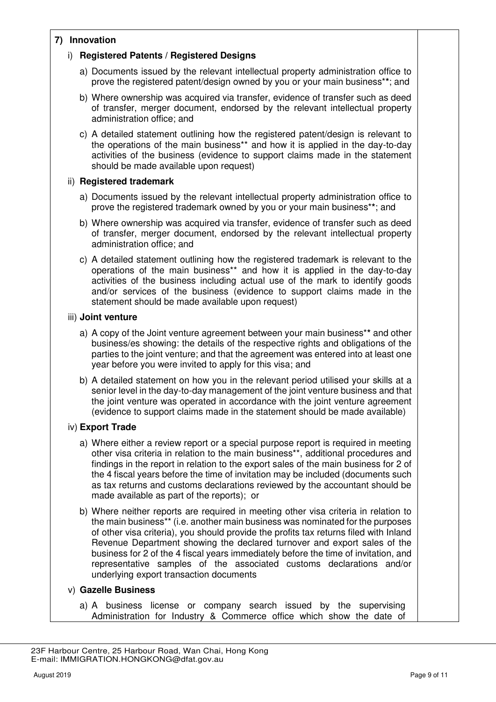# **7) Innovation**

# i) **Registered Patents / Registered Designs**

- a) Documents issued by the relevant intellectual property administration office to prove the registered patent/design owned by you or your main business\***\***; and
- b) Where ownership was acquired via transfer, evidence of transfer such as deed of transfer, merger document, endorsed by the relevant intellectual property administration office; and
- c) A detailed statement outlining how the registered patent/design is relevant to the operations of the main business\*\* and how it is applied in the day-to-day activities of the business (evidence to support claims made in the statement should be made available upon request)

# ii) **Registered trademark**

- a) Documents issued by the relevant intellectual property administration office to prove the registered trademark owned by you or your main business\***\***; and
- b) Where ownership was acquired via transfer, evidence of transfer such as deed of transfer, merger document, endorsed by the relevant intellectual property administration office; and
- c) A detailed statement outlining how the registered trademark is relevant to the operations of the main business\*\* and how it is applied in the day-to-day activities of the business including actual use of the mark to identify goods and/or services of the business (evidence to support claims made in the statement should be made available upon request)

# iii) **Joint venture**

- a) A copy of the Joint venture agreement between your main business\***\*** and other business/es showing: the details of the respective rights and obligations of the parties to the joint venture; and that the agreement was entered into at least one year before you were invited to apply for this visa; and
- b) A detailed statement on how you in the relevant period utilised your skills at a senior level in the day-to-day management of the joint venture business and that the joint venture was operated in accordance with the joint venture agreement (evidence to support claims made in the statement should be made available)

# iv) **Export Trade**

- a) Where either a review report or a special purpose report is required in meeting other visa criteria in relation to the main business\*\*, additional procedures and findings in the report in relation to the export sales of the main business for 2 of the 4 fiscal years before the time of invitation may be included (documents such as tax returns and customs declarations reviewed by the accountant should be made available as part of the reports); or
- b) Where neither reports are required in meeting other visa criteria in relation to the main business\*\* (i.e. another main business was nominated for the purposes of other visa criteria), you should provide the profits tax returns filed with Inland Revenue Department showing the declared turnover and export sales of the business for 2 of the 4 fiscal years immediately before the time of invitation, and representative samples of the associated customs declarations and/or underlying export transaction documents

# v) **Gazelle Business**

a) A business license or company search issued by the supervising Administration for Industry & Commerce office which show the date of

 <sup>23</sup>F Harbour Centre, 25 Harbour Road, Wan Chai, Hong Kong E-mail: IMMIGRATION.HONGKONG@dfat.gov.au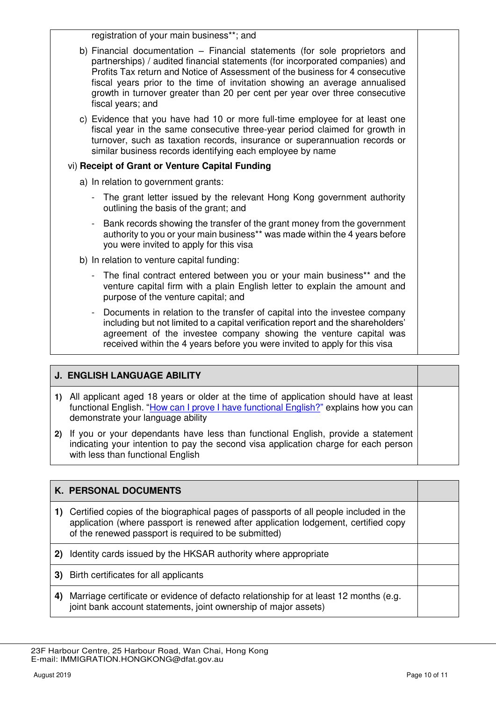registration of your main business\*\*; and

- b) Financial documentation Financial statements (for sole proprietors and partnerships) / audited financial statements (for incorporated companies) and Profits Tax return and Notice of Assessment of the business for 4 consecutive fiscal years prior to the time of invitation showing an average annualised growth in turnover greater than 20 per cent per year over three consecutive fiscal years; and
- c) Evidence that you have had 10 or more full-time employee for at least one fiscal year in the same consecutive three-year period claimed for growth in turnover, such as taxation records, insurance or superannuation records or similar business records identifying each employee by name

# vi) **Receipt of Grant or Venture Capital Funding**

- a) In relation to government grants:
	- The grant letter issued by the relevant Hong Kong government authority outlining the basis of the grant; and
	- Bank records showing the transfer of the grant money from the government authority to you or your main business\*\* was made within the 4 years before you were invited to apply for this visa
- b) In relation to venture capital funding:
	- The final contract entered between you or your main business\*\* and the venture capital firm with a plain English letter to explain the amount and purpose of the venture capital; and
	- Documents in relation to the transfer of capital into the investee company including but not limited to a capital verification report and the shareholders' agreement of the investee company showing the venture capital was received within the 4 years before you were invited to apply for this visa

# **J. ENGLISH LANGUAGE ABILITY**

- **1)** All applicant aged 18 years or older at the time of application should have at least functional English. "[How can I prove I have functional English?](https://immi.homeaffairs.gov.au/help-support/meeting-our-requirements/english-language/functional-english)" explains how you can demonstrate your language ability
- **2)** If you or your dependants have less than functional English, provide a statement indicating your intention to pay the second visa application charge for each person with less than functional English

# **K. PERSONAL DOCUMENTS**

- **1)** Certified copies of the biographical pages of passports of all people included in the application (where passport is renewed after application lodgement, certified copy of the renewed passport is required to be submitted)
- **2)** Identity cards issued by the HKSAR authority where appropriate
- **3)** Birth certificates for all applicants
- **4)** Marriage certificate or evidence of defacto relationship for at least 12 months (e.g. joint bank account statements, joint ownership of major assets)

 <sup>23</sup>F Harbour Centre, 25 Harbour Road, Wan Chai, Hong Kong E-mail: IMMIGRATION.HONGKONG@dfat.gov.au